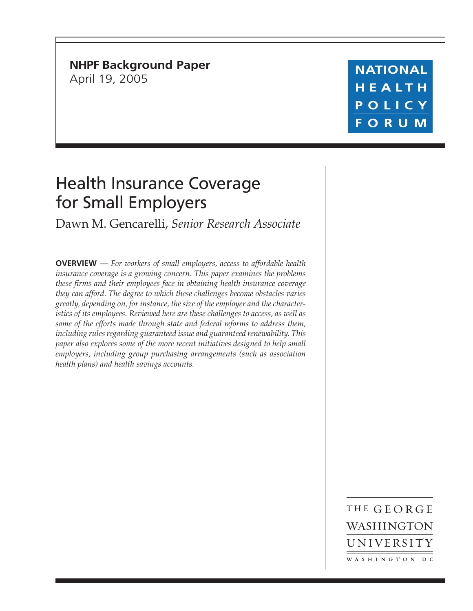**NHPF Background Paper** April 19, 2005

**NATIONAL** HEALTH POLICY **FORUM** 

## Health Insurance Coverage for Small Employers

Dawn M. Gencarelli, *Senior Research Associate*

**OVERVIEW** — *For workers of small employers, access to affordable health insurance coverage is a growing concern. This paper examines the problems these firms and their employees face in obtaining health insurance coverage they can afford. The degree to which these challenges become obstacles varies greatly, depending on, for instance, the size of the employer and the characteristics of its employees. Reviewed here are these challenges to access, as well as some of the efforts made through state and federal reforms to address them, including rules regarding guaranteed issue and guaranteed renewability. This paper also explores some of the more recent initiatives designed to help small employers, including group purchasing arrangements (such as association health plans) and health savings accounts.*

> THE GEORGE WASHINGTON UNIVERSITY WASHINGTON DC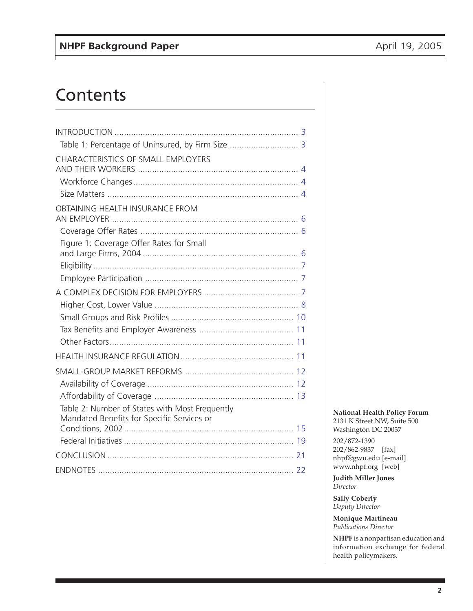# **Contents**

| Table 1: Percentage of Uninsured, by Firm Size  3                                            |  |
|----------------------------------------------------------------------------------------------|--|
| <b>CHARACTERISTICS OF SMALL EMPLOYERS</b>                                                    |  |
|                                                                                              |  |
|                                                                                              |  |
| OBTAINING HEALTH INSURANCE FROM                                                              |  |
|                                                                                              |  |
| Figure 1: Coverage Offer Rates for Small                                                     |  |
|                                                                                              |  |
|                                                                                              |  |
|                                                                                              |  |
|                                                                                              |  |
|                                                                                              |  |
|                                                                                              |  |
|                                                                                              |  |
|                                                                                              |  |
|                                                                                              |  |
|                                                                                              |  |
|                                                                                              |  |
| Table 2: Number of States with Most Frequently<br>Mandated Benefits for Specific Services or |  |
|                                                                                              |  |
|                                                                                              |  |
|                                                                                              |  |
|                                                                                              |  |

#### **National Health Policy Forum** 2131 K Street NW, Suite 500

Washington DC 20037

202/872-1390 202/862-9837 [fax] nhpf@gwu.edu [e-mail] www.nhpf.org [web]

**Judith Miller Jones** *Director*

**Sally Coberly** *Deputy Director*

**Monique Martineau** *Publications Director*

**NHPF** is a nonpartisan education and information exchange for federal health policymakers.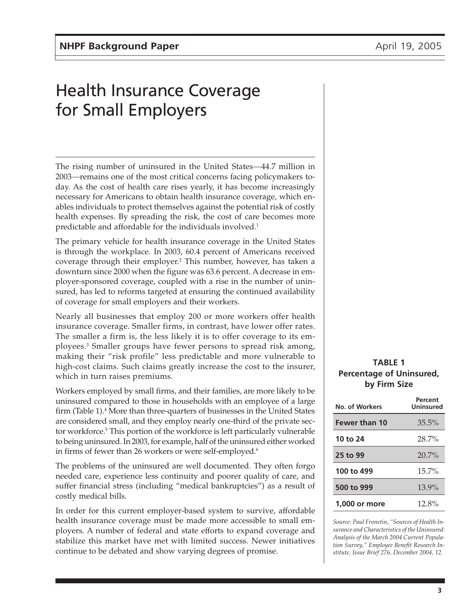## <span id="page-2-0"></span>Health Insurance Coverage for Small Employers

The rising number of uninsured in the United States*—*44.7 million in 2003*—*remains one of the most critical concerns facing policymakers today. As the cost of health care rises yearly, it has become increasingly necessary for Americans to obtain health insurance coverage, which enables individuals to protect themselves against the potential risk of costly health expenses. By spreading the risk, the cost of care becomes more predictable and affordable for the individuals involved.<sup>1</sup>

The primary vehicle for health insurance coverage in the United States is through the workplace. In 2003, 60.4 percent of Americans received coverage through their employer.<sup>2</sup> This number, however, has taken a downturn since 2000 when the figure was 63.6 percent. A decrease in employer-sponsored coverage, coupled with a rise in the number of uninsured, has led to reforms targeted at ensuring the continued availability of coverage for small employers and their workers.

Nearly all businesses that employ 200 or more workers offer health insurance coverage. Smaller firms, in contrast, have lower offer rates. The smaller a firm is, the less likely it is to offer coverage to its employees.3 Smaller groups have fewer persons to spread risk among, making their "risk profile" less predictable and more vulnerable to high-cost claims. Such claims greatly increase the cost to the insurer, which in turn raises premiums.

Workers employed by small firms, and their families, are more likely to be uninsured compared to those in households with an employee of a large firm (Table 1).4 More than three-quarters of businesses in the United States are considered small, and they employ nearly one-third of the private sector workforce.5 This portion of the workforce is left particularly vulnerable to being uninsured. In 2003, for example, half of the uninsured either worked in firms of fewer than 26 workers or were self-employed.<sup>6</sup>

The problems of the uninsured are well documented. They often forgo needed care, experience less continuity and poorer quality of care, and suffer financial stress (including "medical bankruptcies") as a result of costly medical bills.

In order for this current employer-based system to survive, affordable health insurance coverage must be made more accessible to small employers. A number of federal and state efforts to expand coverage and stabilize this market have met with limited success. Newer initiatives continue to be debated and show varying degrees of promise.

#### **TABLE 1 Percentage of Uninsured, by Firm Size**

| No. of Workers       | Percent<br>Uninsured |
|----------------------|----------------------|
| <b>Fewer than 10</b> | $35.5\%$             |
| 10 to 24             | $28.7\%$             |
| 25 to 99             | $20.7\%$             |
| 100 to 499           | $15.7\%$             |
| 500 to 999           | 13.9%                |
| 1,000 or more        | $12.8\%$             |

*Source: Paul Fronstin, "Sources of Health Insurance and Characteristics of the Uninsured: Analysis of the March 2004 Current Population Survey," Employee Benefit Research Institute, Issue Brief 276, December 2004, 12.*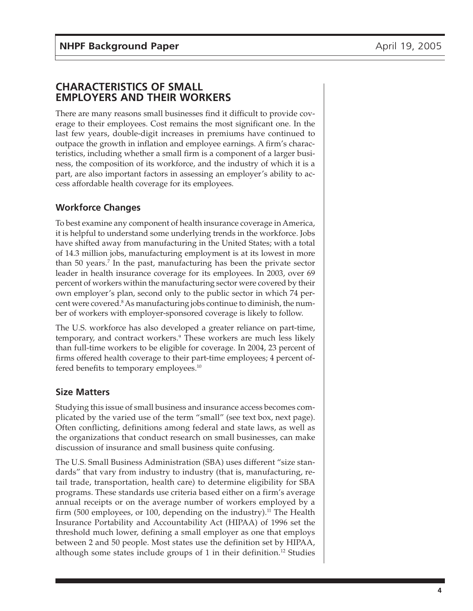#### <span id="page-3-0"></span>**CHARACTERISTICS OF SMALL EMPLOYERS AND THEIR WORKERS**

There are many reasons small businesses find it difficult to provide coverage to their employees. Cost remains the most significant one. In the last few years, double-digit increases in premiums have continued to outpace the growth in inflation and employee earnings. A firm's characteristics, including whether a small firm is a component of a larger business, the composition of its workforce, and the industry of which it is a part, are also important factors in assessing an employer's ability to access affordable health coverage for its employees.

### **Workforce Changes**

To best examine any component of health insurance coverage in America, it is helpful to understand some underlying trends in the workforce. Jobs have shifted away from manufacturing in the United States; with a total of 14.3 million jobs, manufacturing employment is at its lowest in more than 50 years.<sup>7</sup> In the past, manufacturing has been the private sector leader in health insurance coverage for its employees. In 2003, over 69 percent of workers within the manufacturing sector were covered by their own employer's plan, second only to the public sector in which 74 percent were covered.<sup>8</sup> As manufacturing jobs continue to diminish, the number of workers with employer-sponsored coverage is likely to follow.

The U.S. workforce has also developed a greater reliance on part-time, temporary, and contract workers.<sup>9</sup> These workers are much less likely than full-time workers to be eligible for coverage. In 2004, 23 percent of firms offered health coverage to their part-time employees; 4 percent offered benefits to temporary employees.<sup>10</sup>

#### **Size Matters**

Studying this issue of small business and insurance access becomes complicated by the varied use of the term "small" (see text box, next page). Often conflicting, definitions among federal and state laws, as well as the organizations that conduct research on small businesses, can make discussion of insurance and small business quite confusing.

The U.S. Small Business Administration (SBA) uses different "size standards" that vary from industry to industry (that is, manufacturing, retail trade, transportation, health care) to determine eligibility for SBA programs. These standards use criteria based either on a firm's average annual receipts or on the average number of workers employed by a firm (500 employees, or 100, depending on the industry).<sup>11</sup> The Health Insurance Portability and Accountability Act (HIPAA) of 1996 set the threshold much lower, defining a small employer as one that employs between 2 and 50 people. Most states use the definition set by HIPAA, although some states include groups of 1 in their definition.<sup>12</sup> Studies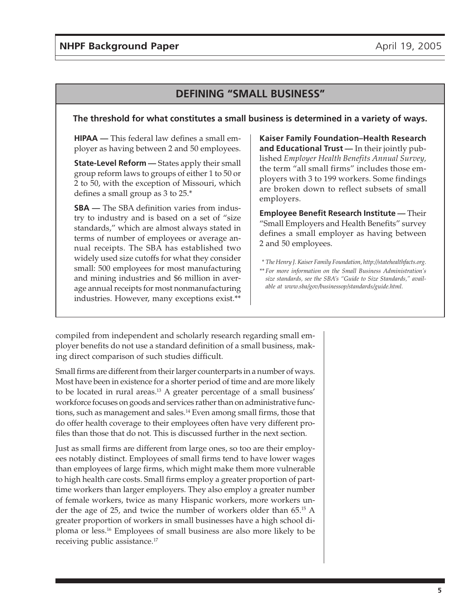## **DEFINING "SMALL BUSINESS"**

#### **The threshold for what constitutes a small business is determined in a variety of ways.**

**HIPAA —** This federal law defines a small employer as having between 2 and 50 employees.

**State-Level Reform** — States apply their small group reform laws to groups of either 1 to 50 or 2 to 50, with the exception of Missouri, which defines a small group as 3 to 25.\*

**SBA —** The SBA definition varies from industry to industry and is based on a set of "size standards," which are almost always stated in terms of number of employees or average annual receipts. The SBA has established two widely used size cutoffs for what they consider small: 500 employees for most manufacturing and mining industries and \$6 million in average annual receipts for most nonmanufacturing industries. However, many exceptions exist.\*\*

**Kaiser Family Foundation–Health Research and Educational Trust —** In their jointly published *Employer Health Benefits Annual Survey,* the term "all small firms" includes those employers with 3 to 199 workers. Some findings are broken down to reflect subsets of small employers.

**Employee Benefit Research Institute —** Their "Small Employers and Health Benefits" survey defines a small employer as having between 2 and 50 employees.

- *\* The Henry J. Kaiser Family Foundation, http://statehealthfacts.org.*
- *\*\* For more information on the Small Business Administration's size standards, see the SBA's "Guide to Size Standards," available at www.sba/gov/businessop/standards/guide.html.*

compiled from independent and scholarly research regarding small employer benefits do not use a standard definition of a small business, making direct comparison of such studies difficult.

Small firms are different from their larger counterparts in a number of ways. Most have been in existence for a shorter period of time and are more likely to be located in rural areas.<sup>13</sup> A greater percentage of a small business' workforce focuses on goods and services rather than on administrative functions, such as management and sales.14 Even among small firms, those that do offer health coverage to their employees often have very different profiles than those that do not. This is discussed further in the next section.

Just as small firms are different from large ones, so too are their employees notably distinct. Employees of small firms tend to have lower wages than employees of large firms, which might make them more vulnerable to high health care costs. Small firms employ a greater proportion of parttime workers than larger employers. They also employ a greater number of female workers, twice as many Hispanic workers, more workers under the age of 25, and twice the number of workers older than 65.15 A greater proportion of workers in small businesses have a high school diploma or less.16 Employees of small business are also more likely to be receiving public assistance.<sup>17</sup>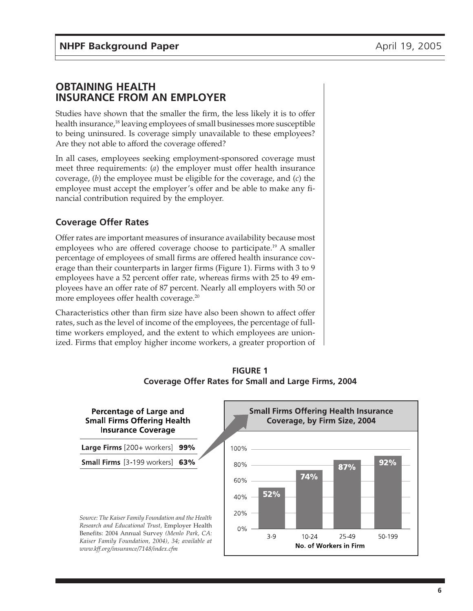#### <span id="page-5-0"></span>**OBTAINING HEALTH INSURANCE FROM AN EMPLOYER**

Studies have shown that the smaller the firm, the less likely it is to offer health insurance,<sup>18</sup> leaving employees of small businesses more susceptible to being uninsured. Is coverage simply unavailable to these employees? Are they not able to afford the coverage offered?

In all cases, employees seeking employment-sponsored coverage must meet three requirements: (*a*) the employer must offer health insurance coverage, (*b*) the employee must be eligible for the coverage, and (*c*) the employee must accept the employer's offer and be able to make any financial contribution required by the employer.

#### **Coverage Offer Rates**

Offer rates are important measures of insurance availability because most employees who are offered coverage choose to participate.<sup>19</sup> A smaller percentage of employees of small firms are offered health insurance coverage than their counterparts in larger firms (Figure 1). Firms with 3 to 9 employees have a 52 percent offer rate, whereas firms with 25 to 49 employees have an offer rate of 87 percent. Nearly all employers with 50 or more employees offer health coverage.<sup>20</sup>

Characteristics other than firm size have also been shown to affect offer rates, such as the level of income of the employees, the percentage of fulltime workers employed, and the extent to which employees are unionized. Firms that employ higher income workers, a greater proportion of



**FIGURE 1 Coverage Offer Rates for Small and Large Firms, 2004**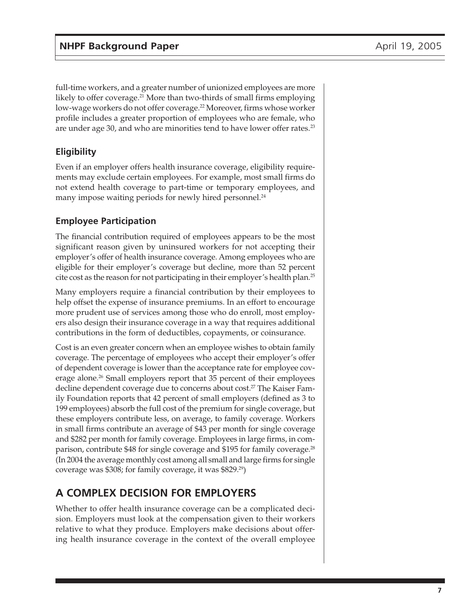<span id="page-6-0"></span>full-time workers, and a greater number of unionized employees are more likely to offer coverage.<sup>21</sup> More than two-thirds of small firms employing low-wage workers do not offer coverage.<sup>22</sup> Moreover, firms whose worker profile includes a greater proportion of employees who are female, who are under age 30, and who are minorities tend to have lower offer rates.<sup>23</sup>

#### **Eligibility**

Even if an employer offers health insurance coverage, eligibility requirements may exclude certain employees. For example, most small firms do not extend health coverage to part-time or temporary employees, and many impose waiting periods for newly hired personnel.<sup>24</sup>

### **Employee Participation**

The financial contribution required of employees appears to be the most significant reason given by uninsured workers for not accepting their employer's offer of health insurance coverage. Among employees who are eligible for their employer's coverage but decline, more than 52 percent cite cost as the reason for not participating in their employer's health plan.25

Many employers require a financial contribution by their employees to help offset the expense of insurance premiums. In an effort to encourage more prudent use of services among those who do enroll, most employers also design their insurance coverage in a way that requires additional contributions in the form of deductibles, copayments, or coinsurance.

Cost is an even greater concern when an employee wishes to obtain family coverage. The percentage of employees who accept their employer's offer of dependent coverage is lower than the acceptance rate for employee coverage alone.<sup>26</sup> Small employers report that 35 percent of their employees decline dependent coverage due to concerns about cost.<sup>27</sup> The Kaiser Family Foundation reports that 42 percent of small employers (defined as 3 to 199 employees) absorb the full cost of the premium for single coverage, but these employers contribute less, on average, to family coverage. Workers in small firms contribute an average of \$43 per month for single coverage and \$282 per month for family coverage. Employees in large firms, in comparison, contribute \$48 for single coverage and \$195 for family coverage.<sup>28</sup> (In 2004 the average monthly cost among all small and large firms for single coverage was \$308; for family coverage, it was \$829.29)

## **A COMPLEX DECISION FOR EMPLOYERS**

Whether to offer health insurance coverage can be a complicated decision. Employers must look at the compensation given to their workers relative to what they produce. Employers make decisions about offering health insurance coverage in the context of the overall employee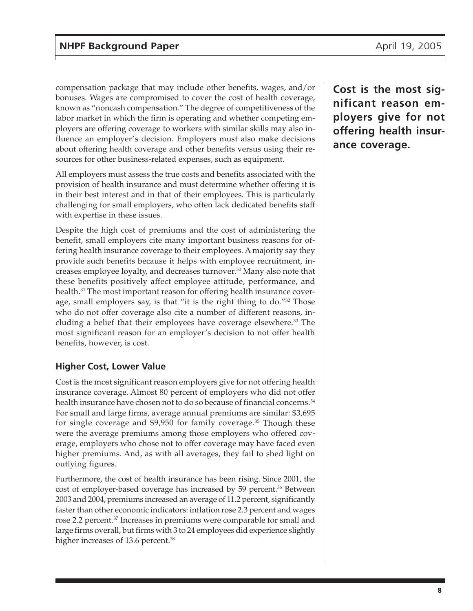<span id="page-7-0"></span>compensation package that may include other benefits, wages, and/or bonuses. Wages are compromised to cover the cost of health coverage, known as "noncash compensation." The degree of competitiveness of the labor market in which the firm is operating and whether competing employers are offering coverage to workers with similar skills may also influence an employer's decision. Employers must also make decisions about offering health coverage and other benefits versus using their resources for other business-related expenses, such as equipment.

All employers must assess the true costs and benefits associated with the provision of health insurance and must determine whether offering it is in their best interest and in that of their employees. This is particularly challenging for small employers, who often lack dedicated benefits staff with expertise in these issues.

Despite the high cost of premiums and the cost of administering the benefit, small employers cite many important business reasons for offering health insurance coverage to their employees. A majority say they provide such benefits because it helps with employee recruitment, increases employee loyalty, and decreases turnover.30 Many also note that these benefits positively affect employee attitude, performance, and health.<sup>31</sup> The most important reason for offering health insurance coverage, small employers say, is that "it is the right thing to do."32 Those who do not offer coverage also cite a number of different reasons, including a belief that their employees have coverage elsewhere.<sup>33</sup> The most significant reason for an employer's decision to not offer health benefits, however, is cost.

#### **Higher Cost, Lower Value**

Cost is the most significant reason employers give for not offering health insurance coverage. Almost 80 percent of employers who did not offer health insurance have chosen not to do so because of financial concerns.<sup>34</sup> For small and large firms, average annual premiums are similar: \$3,695 for single coverage and \$9,950 for family coverage.35 Though these were the average premiums among those employers who offered coverage, employers who chose not to offer coverage may have faced even higher premiums. And, as with all averages, they fail to shed light on outlying figures.

Furthermore, the cost of health insurance has been rising. Since 2001, the cost of employer-based coverage has increased by 59 percent.<sup>36</sup> Between 2003 and 2004, premiums increased an average of 11.2 percent, significantly faster than other economic indicators: inflation rose 2.3 percent and wages rose 2.2 percent.<sup>37</sup> Increases in premiums were comparable for small and large firms overall, but firms with 3 to 24 employees did experience slightly higher increases of 13.6 percent.<sup>38</sup>

**Cost is the most significant reason employers give for not offering health insurance coverage.**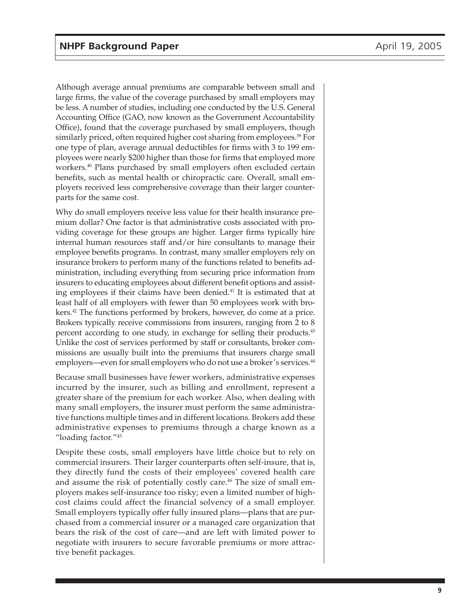Although average annual premiums are comparable between small and large firms, the value of the coverage purchased by small employers may be less. A number of studies, including one conducted by the U.S. General Accounting Office (GAO, now known as the Government Accountability Office), found that the coverage purchased by small employers, though similarly priced, often required higher cost sharing from employees.<sup>39</sup> For one type of plan, average annual deductibles for firms with 3 to 199 employees were nearly \$200 higher than those for firms that employed more workers.40 Plans purchased by small employers often excluded certain benefits, such as mental health or chiropractic care. Overall, small employers received less comprehensive coverage than their larger counterparts for the same cost.

Why do small employers receive less value for their health insurance premium dollar? One factor is that administrative costs associated with providing coverage for these groups are higher. Larger firms typically hire internal human resources staff and/or hire consultants to manage their employee benefits programs. In contrast, many smaller employers rely on insurance brokers to perform many of the functions related to benefits administration, including everything from securing price information from insurers to educating employees about different benefit options and assisting employees if their claims have been denied.<sup>41</sup> It is estimated that at least half of all employers with fewer than 50 employees work with brokers.42 The functions performed by brokers, however, do come at a price. Brokers typically receive commissions from insurers, ranging from 2 to 8 percent according to one study, in exchange for selling their products.<sup>43</sup> Unlike the cost of services performed by staff or consultants, broker commissions are usually built into the premiums that insurers charge small employers—even for small employers who do not use a broker's services.<sup>44</sup>

Because small businesses have fewer workers, administrative expenses incurred by the insurer, such as billing and enrollment, represent a greater share of the premium for each worker. Also, when dealing with many small employers, the insurer must perform the same administrative functions multiple times and in different locations. Brokers add these administrative expenses to premiums through a charge known as a "loading factor."45

Despite these costs, small employers have little choice but to rely on commercial insurers. Their larger counterparts often self-insure, that is, they directly fund the costs of their employees' covered health care and assume the risk of potentially costly care.<sup>46</sup> The size of small employers makes self-insurance too risky; even a limited number of highcost claims could affect the financial solvency of a small employer. Small employers typically offer fully insured plans—plans that are purchased from a commercial insurer or a managed care organization that bears the risk of the cost of care—and are left with limited power to negotiate with insurers to secure favorable premiums or more attractive benefit packages.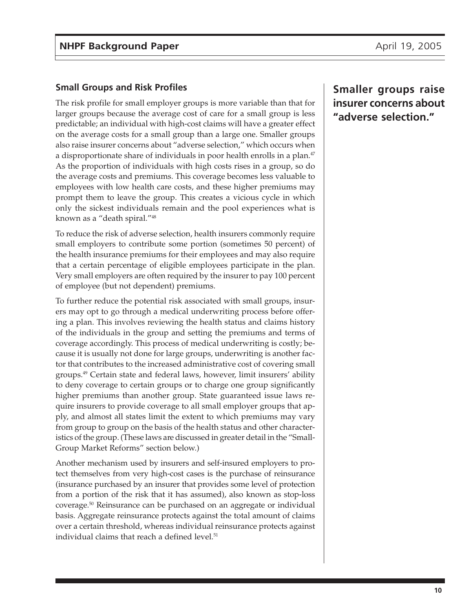#### <span id="page-9-0"></span>**Small Groups and Risk Profiles**

The risk profile for small employer groups is more variable than that for larger groups because the average cost of care for a small group is less predictable; an individual with high-cost claims will have a greater effect on the average costs for a small group than a large one. Smaller groups also raise insurer concerns about "adverse selection," which occurs when a disproportionate share of individuals in poor health enrolls in a plan.<sup>47</sup> As the proportion of individuals with high costs rises in a group, so do the average costs and premiums. This coverage becomes less valuable to employees with low health care costs, and these higher premiums may prompt them to leave the group. This creates a vicious cycle in which only the sickest individuals remain and the pool experiences what is known as a "death spiral."48

To reduce the risk of adverse selection, health insurers commonly require small employers to contribute some portion (sometimes 50 percent) of the health insurance premiums for their employees and may also require that a certain percentage of eligible employees participate in the plan. Very small employers are often required by the insurer to pay 100 percent of employee (but not dependent) premiums.

To further reduce the potential risk associated with small groups, insurers may opt to go through a medical underwriting process before offering a plan. This involves reviewing the health status and claims history of the individuals in the group and setting the premiums and terms of coverage accordingly. This process of medical underwriting is costly; because it is usually not done for large groups, underwriting is another factor that contributes to the increased administrative cost of covering small groups.49 Certain state and federal laws, however, limit insurers' ability to deny coverage to certain groups or to charge one group significantly higher premiums than another group. State guaranteed issue laws require insurers to provide coverage to all small employer groups that apply, and almost all states limit the extent to which premiums may vary from group to group on the basis of the health status and other characteristics of the group. (These laws are discussed in greater detail in the "Small-Group Market Reforms" section below.)

Another mechanism used by insurers and self-insured employers to protect themselves from very high-cost cases is the purchase of reinsurance (insurance purchased by an insurer that provides some level of protection from a portion of the risk that it has assumed), also known as stop-loss coverage.50 Reinsurance can be purchased on an aggregate or individual basis. Aggregate reinsurance protects against the total amount of claims over a certain threshold, whereas individual reinsurance protects against individual claims that reach a defined level.<sup>51</sup>

**Smaller groups raise insurer concerns about "adverse selection."**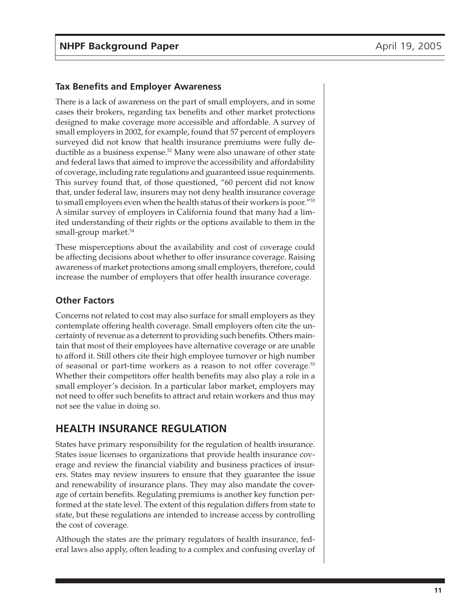#### <span id="page-10-0"></span>**Tax Benefits and Employer Awareness**

There is a lack of awareness on the part of small employers, and in some cases their brokers, regarding tax benefits and other market protections designed to make coverage more accessible and affordable. A survey of small employers in 2002, for example, found that 57 percent of employers surveyed did not know that health insurance premiums were fully deductible as a business expense.<sup>52</sup> Many were also unaware of other state and federal laws that aimed to improve the accessibility and affordability of coverage, including rate regulations and guaranteed issue requirements. This survey found that, of those questioned, "60 percent did not know that, under federal law, insurers may not deny health insurance coverage to small employers even when the health status of their workers is poor."53 A similar survey of employers in California found that many had a limited understanding of their rights or the options available to them in the small-group market.<sup>54</sup>

These misperceptions about the availability and cost of coverage could be affecting decisions about whether to offer insurance coverage. Raising awareness of market protections among small employers, therefore, could increase the number of employers that offer health insurance coverage.

#### **Other Factors**

Concerns not related to cost may also surface for small employers as they contemplate offering health coverage. Small employers often cite the uncertainty of revenue as a deterrent to providing such benefits. Others maintain that most of their employees have alternative coverage or are unable to afford it. Still others cite their high employee turnover or high number of seasonal or part-time workers as a reason to not offer coverage.55 Whether their competitors offer health benefits may also play a role in a small employer's decision. In a particular labor market, employers may not need to offer such benefits to attract and retain workers and thus may not see the value in doing so.

## **HEALTH INSURANCE REGULATION**

States have primary responsibility for the regulation of health insurance. States issue licenses to organizations that provide health insurance coverage and review the financial viability and business practices of insurers. States may review insurers to ensure that they guarantee the issue and renewability of insurance plans. They may also mandate the coverage of certain benefits. Regulating premiums is another key function performed at the state level. The extent of this regulation differs from state to state, but these regulations are intended to increase access by controlling the cost of coverage.

Although the states are the primary regulators of health insurance, federal laws also apply, often leading to a complex and confusing overlay of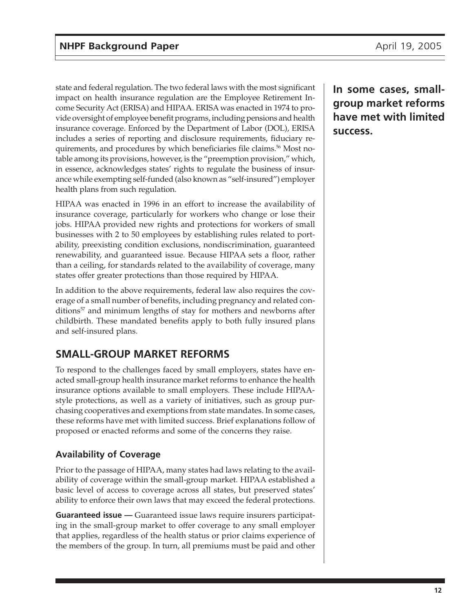<span id="page-11-0"></span>state and federal regulation. The two federal laws with the most significant impact on health insurance regulation are the Employee Retirement Income Security Act (ERISA) and HIPAA. ERISA was enacted in 1974 to provide oversight of employee benefit programs, including pensions and health insurance coverage. Enforced by the Department of Labor (DOL), ERISA includes a series of reporting and disclosure requirements, fiduciary requirements, and procedures by which beneficiaries file claims.<sup>56</sup> Most notable among its provisions, however, is the "preemption provision," which, in essence, acknowledges states' rights to regulate the business of insurance while exempting self-funded (also known as "self-insured") employer health plans from such regulation.

HIPAA was enacted in 1996 in an effort to increase the availability of insurance coverage, particularly for workers who change or lose their jobs. HIPAA provided new rights and protections for workers of small businesses with 2 to 50 employees by establishing rules related to portability, preexisting condition exclusions, nondiscrimination, guaranteed renewability, and guaranteed issue. Because HIPAA sets a floor, rather than a ceiling, for standards related to the availability of coverage, many states offer greater protections than those required by HIPAA.

In addition to the above requirements, federal law also requires the coverage of a small number of benefits, including pregnancy and related conditions<sup>57</sup> and minimum lengths of stay for mothers and newborns after childbirth. These mandated benefits apply to both fully insured plans and self-insured plans.

## **SMALL-GROUP MARKET REFORMS**

To respond to the challenges faced by small employers, states have enacted small-group health insurance market reforms to enhance the health insurance options available to small employers. These include HIPAAstyle protections, as well as a variety of initiatives, such as group purchasing cooperatives and exemptions from state mandates. In some cases, these reforms have met with limited success. Brief explanations follow of proposed or enacted reforms and some of the concerns they raise.

### **Availability of Coverage**

Prior to the passage of HIPAA, many states had laws relating to the availability of coverage within the small-group market. HIPAA established a basic level of access to coverage across all states, but preserved states' ability to enforce their own laws that may exceed the federal protections.

**Guaranteed issue —** Guaranteed issue laws require insurers participating in the small-group market to offer coverage to any small employer that applies, regardless of the health status or prior claims experience of the members of the group. In turn, all premiums must be paid and other **In some cases, smallgroup market reforms have met with limited success.**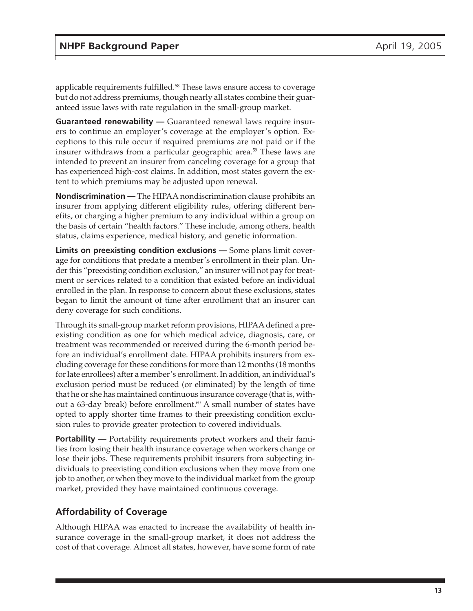<span id="page-12-0"></span>applicable requirements fulfilled.<sup>58</sup> These laws ensure access to coverage but do not address premiums, though nearly all states combine their guaranteed issue laws with rate regulation in the small-group market.

**Guaranteed renewability —** Guaranteed renewal laws require insurers to continue an employer's coverage at the employer's option. Exceptions to this rule occur if required premiums are not paid or if the insurer withdraws from a particular geographic area.<sup>59</sup> These laws are intended to prevent an insurer from canceling coverage for a group that has experienced high-cost claims. In addition, most states govern the extent to which premiums may be adjusted upon renewal.

**Nondiscrimination —** The HIPAA nondiscrimination clause prohibits an insurer from applying different eligibility rules, offering different benefits, or charging a higher premium to any individual within a group on the basis of certain "health factors." These include, among others, health status, claims experience, medical history, and genetic information.

**Limits on preexisting condition exclusions —** Some plans limit coverage for conditions that predate a member's enrollment in their plan. Under this "preexisting condition exclusion," an insurer will not pay for treatment or services related to a condition that existed before an individual enrolled in the plan. In response to concern about these exclusions, states began to limit the amount of time after enrollment that an insurer can deny coverage for such conditions.

Through its small-group market reform provisions, HIPAA defined a preexisting condition as one for which medical advice, diagnosis, care, or treatment was recommended or received during the 6-month period before an individual's enrollment date. HIPAA prohibits insurers from excluding coverage for these conditions for more than 12 months (18 months for late enrollees) after a member's enrollment. In addition, an individual's exclusion period must be reduced (or eliminated) by the length of time that he or she has maintained continuous insurance coverage (that is, without a 63-day break) before enrollment.<sup>60</sup> A small number of states have opted to apply shorter time frames to their preexisting condition exclusion rules to provide greater protection to covered individuals.

**Portability —** Portability requirements protect workers and their families from losing their health insurance coverage when workers change or lose their jobs. These requirements prohibit insurers from subjecting individuals to preexisting condition exclusions when they move from one job to another, or when they move to the individual market from the group market, provided they have maintained continuous coverage.

#### **Affordability of Coverage**

Although HIPAA was enacted to increase the availability of health insurance coverage in the small-group market, it does not address the cost of that coverage. Almost all states, however, have some form of rate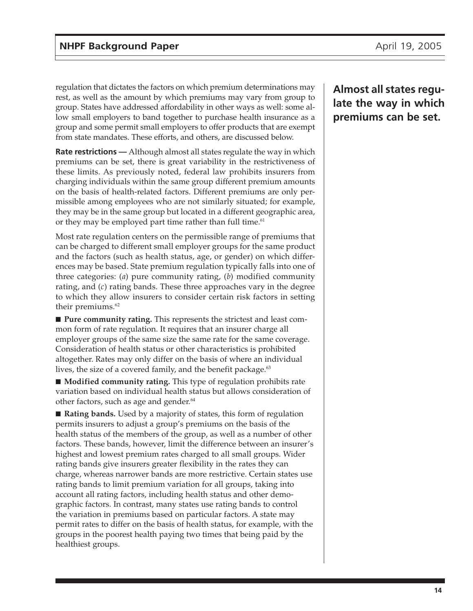regulation that dictates the factors on which premium determinations may rest, as well as the amount by which premiums may vary from group to group. States have addressed affordability in other ways as well: some allow small employers to band together to purchase health insurance as a group and some permit small employers to offer products that are exempt from state mandates. These efforts, and others, are discussed below.

**Rate restrictions —** Although almost all states regulate the way in which premiums can be set, there is great variability in the restrictiveness of these limits. As previously noted, federal law prohibits insurers from charging individuals within the same group different premium amounts on the basis of health-related factors. Different premiums are only permissible among employees who are not similarly situated; for example, they may be in the same group but located in a different geographic area, or they may be employed part time rather than full time.<sup>61</sup>

Most rate regulation centers on the permissible range of premiums that can be charged to different small employer groups for the same product and the factors (such as health status, age, or gender) on which differences may be based. State premium regulation typically falls into one of three categories: (*a*) pure community rating, (*b*) modified community rating, and (*c*) rating bands. These three approaches vary in the degree to which they allow insurers to consider certain risk factors in setting their premiums.<sup>62</sup>

■ **Pure community rating.** This represents the strictest and least common form of rate regulation. It requires that an insurer charge all employer groups of the same size the same rate for the same coverage. Consideration of health status or other characteristics is prohibited altogether. Rates may only differ on the basis of where an individual lives, the size of a covered family, and the benefit package. $63$ 

■ **Modified community rating.** This type of regulation prohibits rate variation based on individual health status but allows consideration of other factors, such as age and gender.<sup>64</sup>

■ **Rating bands.** Used by a majority of states, this form of regulation permits insurers to adjust a group's premiums on the basis of the health status of the members of the group, as well as a number of other factors. These bands, however, limit the difference between an insurer's highest and lowest premium rates charged to all small groups. Wider rating bands give insurers greater flexibility in the rates they can charge, whereas narrower bands are more restrictive. Certain states use rating bands to limit premium variation for all groups, taking into account all rating factors, including health status and other demographic factors. In contrast, many states use rating bands to control the variation in premiums based on particular factors. A state may permit rates to differ on the basis of health status, for example, with the groups in the poorest health paying two times that being paid by the healthiest groups.

## **Almost all states regulate the way in which premiums can be set.**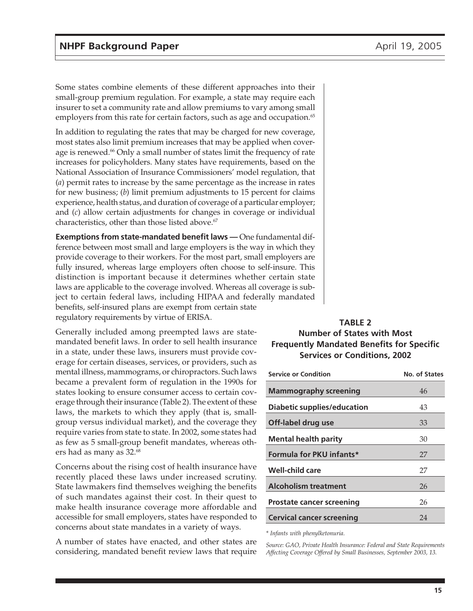<span id="page-14-0"></span>Some states combine elements of these different approaches into their small-group premium regulation. For example, a state may require each insurer to set a community rate and allow premiums to vary among small employers from this rate for certain factors, such as age and occupation.<sup>65</sup>

In addition to regulating the rates that may be charged for new coverage, most states also limit premium increases that may be applied when coverage is renewed.<sup>66</sup> Only a small number of states limit the frequency of rate increases for policyholders. Many states have requirements, based on the National Association of Insurance Commissioners' model regulation, that (*a*) permit rates to increase by the same percentage as the increase in rates for new business; (*b*) limit premium adjustments to 15 percent for claims experience, health status, and duration of coverage of a particular employer; and (*c*) allow certain adjustments for changes in coverage or individual characteristics, other than those listed above.<sup>67</sup>

**Exemptions from state-mandated benefit laws —** One fundamental difference between most small and large employers is the way in which they provide coverage to their workers. For the most part, small employers are fully insured, whereas large employers often choose to self-insure. This distinction is important because it determines whether certain state laws are applicable to the coverage involved. Whereas all coverage is subject to certain federal laws, including HIPAA and federally mandated benefits, self-insured plans are exempt from certain state regulatory requirements by virtue of ERISA.

Generally included among preempted laws are statemandated benefit laws. In order to sell health insurance in a state, under these laws, insurers must provide coverage for certain diseases, services, or providers, such as mental illness, mammograms, or chiropractors. Such laws became a prevalent form of regulation in the 1990s for states looking to ensure consumer access to certain coverage through their insurance (Table 2). The extent of these laws, the markets to which they apply (that is, smallgroup versus individual market), and the coverage they require varies from state to state. In 2002, some states had as few as 5 small-group benefit mandates, whereas others had as many as 32.68

Concerns about the rising cost of health insurance have recently placed these laws under increased scrutiny. State lawmakers find themselves weighing the benefits of such mandates against their cost. In their quest to make health insurance coverage more affordable and accessible for small employers, states have responded to concerns about state mandates in a variety of ways.

A number of states have enacted, and other states are considering, mandated benefit review laws that require

#### **TABLE 2 Number of States with Most Frequently Mandated Benefits for Specific Services or Conditions, 2002**

| <b>Service or Condition</b>        | No. of States |
|------------------------------------|---------------|
| <b>Mammography screening</b>       | 46            |
| <b>Diabetic supplies/education</b> | 43            |
| Off-label drug use                 | 33            |
| <b>Mental health parity</b>        | 30            |
| Formula for PKU infants*           | 27            |
| <b>Well-child care</b>             | 27            |
| <b>Alcoholism treatment</b>        | 26            |
| <b>Prostate cancer screening</b>   | 26            |
| <b>Cervical cancer screening</b>   | 24            |

*\* Infants with phenylketonuria.*

*Source: GAO, Private Health Insurance: Federal and State Requirements Affecting Coverage Offered by Small Businesses, September 2003, 13.*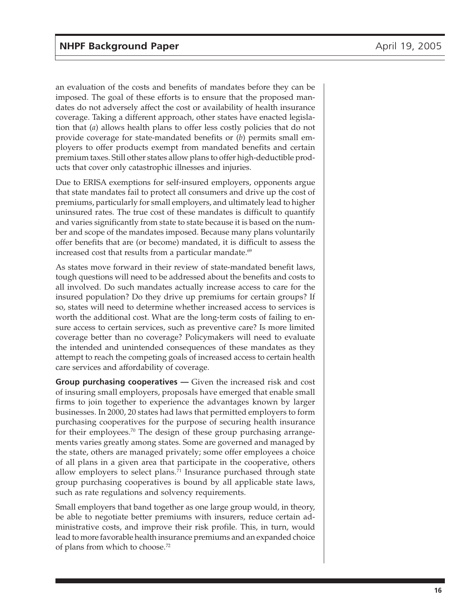an evaluation of the costs and benefits of mandates before they can be imposed. The goal of these efforts is to ensure that the proposed mandates do not adversely affect the cost or availability of health insurance coverage. Taking a different approach, other states have enacted legislation that (*a*) allows health plans to offer less costly policies that do not provide coverage for state-mandated benefits or (*b*) permits small employers to offer products exempt from mandated benefits and certain premium taxes. Still other states allow plans to offer high-deductible products that cover only catastrophic illnesses and injuries.

Due to ERISA exemptions for self-insured employers, opponents argue that state mandates fail to protect all consumers and drive up the cost of premiums, particularly for small employers, and ultimately lead to higher uninsured rates. The true cost of these mandates is difficult to quantify and varies significantly from state to state because it is based on the number and scope of the mandates imposed. Because many plans voluntarily offer benefits that are (or become) mandated, it is difficult to assess the increased cost that results from a particular mandate. $69$ 

As states move forward in their review of state-mandated benefit laws, tough questions will need to be addressed about the benefits and costs to all involved. Do such mandates actually increase access to care for the insured population? Do they drive up premiums for certain groups? If so, states will need to determine whether increased access to services is worth the additional cost. What are the long-term costs of failing to ensure access to certain services, such as preventive care? Is more limited coverage better than no coverage? Policymakers will need to evaluate the intended and unintended consequences of these mandates as they attempt to reach the competing goals of increased access to certain health care services and affordability of coverage.

**Group purchasing cooperatives —** Given the increased risk and cost of insuring small employers, proposals have emerged that enable small firms to join together to experience the advantages known by larger businesses. In 2000, 20 states had laws that permitted employers to form purchasing cooperatives for the purpose of securing health insurance for their employees.<sup>70</sup> The design of these group purchasing arrangements varies greatly among states. Some are governed and managed by the state, others are managed privately; some offer employees a choice of all plans in a given area that participate in the cooperative, others allow employers to select plans.<sup>71</sup> Insurance purchased through state group purchasing cooperatives is bound by all applicable state laws, such as rate regulations and solvency requirements.

Small employers that band together as one large group would, in theory, be able to negotiate better premiums with insurers, reduce certain administrative costs, and improve their risk profile. This, in turn, would lead to more favorable health insurance premiums and an expanded choice of plans from which to choose.72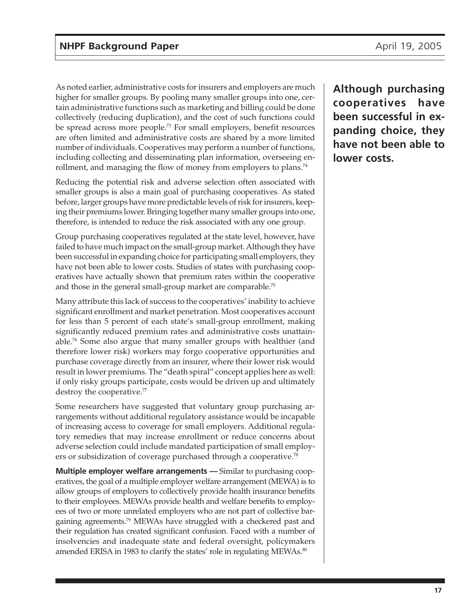As noted earlier, administrative costs for insurers and employers are much higher for smaller groups. By pooling many smaller groups into one, certain administrative functions such as marketing and billing could be done collectively (reducing duplication), and the cost of such functions could be spread across more people.<sup>73</sup> For small employers, benefit resources are often limited and administrative costs are shared by a more limited number of individuals. Cooperatives may perform a number of functions, including collecting and disseminating plan information, overseeing enrollment, and managing the flow of money from employers to plans.<sup>74</sup>

Reducing the potential risk and adverse selection often associated with smaller groups is also a main goal of purchasing cooperatives. As stated before, larger groups have more predictable levels of risk for insurers, keeping their premiums lower. Bringing together many smaller groups into one, therefore, is intended to reduce the risk associated with any one group.

Group purchasing cooperatives regulated at the state level, however, have failed to have much impact on the small-group market. Although they have been successful in expanding choice for participating small employers, they have not been able to lower costs. Studies of states with purchasing cooperatives have actually shown that premium rates within the cooperative and those in the general small-group market are comparable.<sup>75</sup>

Many attribute this lack of success to the cooperatives' inability to achieve significant enrollment and market penetration. Most cooperatives account for less than 5 percent of each state's small-group enrollment, making significantly reduced premium rates and administrative costs unattainable.76 Some also argue that many smaller groups with healthier (and therefore lower risk) workers may forgo cooperative opportunities and purchase coverage directly from an insurer, where their lower risk would result in lower premiums. The "death spiral" concept applies here as well: if only risky groups participate, costs would be driven up and ultimately destroy the cooperative.<sup>77</sup>

Some researchers have suggested that voluntary group purchasing arrangements without additional regulatory assistance would be incapable of increasing access to coverage for small employers. Additional regulatory remedies that may increase enrollment or reduce concerns about adverse selection could include mandated participation of small employers or subsidization of coverage purchased through a cooperative.<sup>78</sup>

**Multiple employer welfare arrangements —** Similar to purchasing cooperatives, the goal of a multiple employer welfare arrangement (MEWA) is to allow groups of employers to collectively provide health insurance benefits to their employees. MEWAs provide health and welfare benefits to employees of two or more unrelated employers who are not part of collective bargaining agreements.<sup>79</sup> MEWAs have struggled with a checkered past and their regulation has created significant confusion. Faced with a number of insolvencies and inadequate state and federal oversight, policymakers amended ERISA in 1983 to clarify the states' role in regulating MEWAs.<sup>80</sup>

**Although purchasing cooperatives have been successful in expanding choice, they have not been able to lower costs.**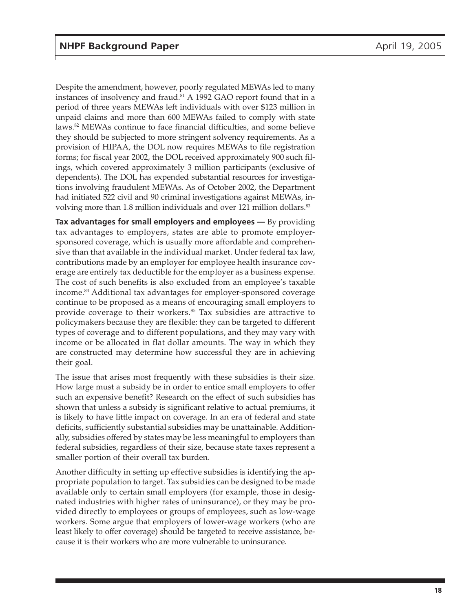Despite the amendment, however, poorly regulated MEWAs led to many instances of insolvency and fraud.<sup>81</sup> A 1992 GAO report found that in a period of three years MEWAs left individuals with over \$123 million in unpaid claims and more than 600 MEWAs failed to comply with state laws.82 MEWAs continue to face financial difficulties, and some believe they should be subjected to more stringent solvency requirements. As a provision of HIPAA, the DOL now requires MEWAs to file registration forms; for fiscal year 2002, the DOL received approximately 900 such filings, which covered approximately 3 million participants (exclusive of dependents). The DOL has expended substantial resources for investigations involving fraudulent MEWAs. As of October 2002, the Department had initiated 522 civil and 90 criminal investigations against MEWAs, involving more than 1.8 million individuals and over 121 million dollars.<sup>83</sup>

**Tax advantages for small employers and employees —** By providing tax advantages to employers, states are able to promote employersponsored coverage, which is usually more affordable and comprehensive than that available in the individual market. Under federal tax law, contributions made by an employer for employee health insurance coverage are entirely tax deductible for the employer as a business expense. The cost of such benefits is also excluded from an employee's taxable income.84 Additional tax advantages for employer-sponsored coverage continue to be proposed as a means of encouraging small employers to provide coverage to their workers.<sup>85</sup> Tax subsidies are attractive to policymakers because they are flexible: they can be targeted to different types of coverage and to different populations, and they may vary with income or be allocated in flat dollar amounts. The way in which they are constructed may determine how successful they are in achieving their goal.

The issue that arises most frequently with these subsidies is their size. How large must a subsidy be in order to entice small employers to offer such an expensive benefit? Research on the effect of such subsidies has shown that unless a subsidy is significant relative to actual premiums, it is likely to have little impact on coverage. In an era of federal and state deficits, sufficiently substantial subsidies may be unattainable. Additionally, subsidies offered by states may be less meaningful to employers than federal subsidies, regardless of their size, because state taxes represent a smaller portion of their overall tax burden.

Another difficulty in setting up effective subsidies is identifying the appropriate population to target. Tax subsidies can be designed to be made available only to certain small employers (for example, those in designated industries with higher rates of uninsurance), or they may be provided directly to employees or groups of employees, such as low-wage workers. Some argue that employers of lower-wage workers (who are least likely to offer coverage) should be targeted to receive assistance, because it is their workers who are more vulnerable to uninsurance.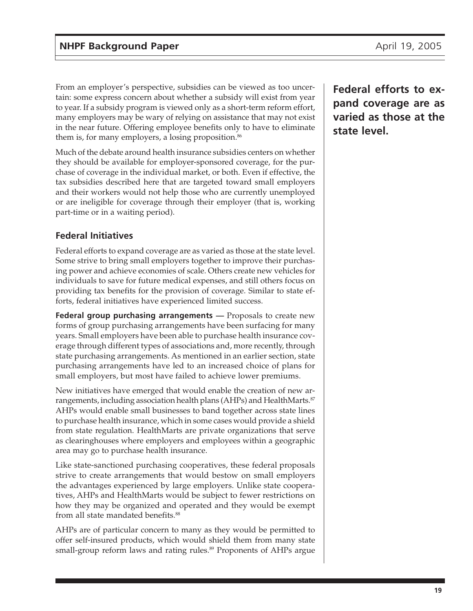<span id="page-18-0"></span>From an employer's perspective, subsidies can be viewed as too uncertain: some express concern about whether a subsidy will exist from year to year. If a subsidy program is viewed only as a short-term reform effort, many employers may be wary of relying on assistance that may not exist in the near future. Offering employee benefits only to have to eliminate them is, for many employers, a losing proposition.<sup>86</sup>

Much of the debate around health insurance subsidies centers on whether they should be available for employer-sponsored coverage, for the purchase of coverage in the individual market, or both. Even if effective, the tax subsidies described here that are targeted toward small employers and their workers would not help those who are currently unemployed or are ineligible for coverage through their employer (that is, working part-time or in a waiting period).

#### **Federal Initiatives**

Federal efforts to expand coverage are as varied as those at the state level. Some strive to bring small employers together to improve their purchasing power and achieve economies of scale. Others create new vehicles for individuals to save for future medical expenses, and still others focus on providing tax benefits for the provision of coverage. Similar to state efforts, federal initiatives have experienced limited success.

**Federal group purchasing arrangements** — Proposals to create new forms of group purchasing arrangements have been surfacing for many years. Small employers have been able to purchase health insurance coverage through different types of associations and, more recently, through state purchasing arrangements. As mentioned in an earlier section, state purchasing arrangements have led to an increased choice of plans for small employers, but most have failed to achieve lower premiums.

New initiatives have emerged that would enable the creation of new arrangements, including association health plans (AHPs) and HealthMarts.<sup>87</sup> AHPs would enable small businesses to band together across state lines to purchase health insurance, which in some cases would provide a shield from state regulation. HealthMarts are private organizations that serve as clearinghouses where employers and employees within a geographic area may go to purchase health insurance.

Like state-sanctioned purchasing cooperatives, these federal proposals strive to create arrangements that would bestow on small employers the advantages experienced by large employers. Unlike state cooperatives, AHPs and HealthMarts would be subject to fewer restrictions on how they may be organized and operated and they would be exempt from all state mandated benefits.<sup>88</sup>

AHPs are of particular concern to many as they would be permitted to offer self-insured products, which would shield them from many state small-group reform laws and rating rules.<sup>89</sup> Proponents of AHPs argue **Federal efforts to expand coverage are as varied as those at the state level.**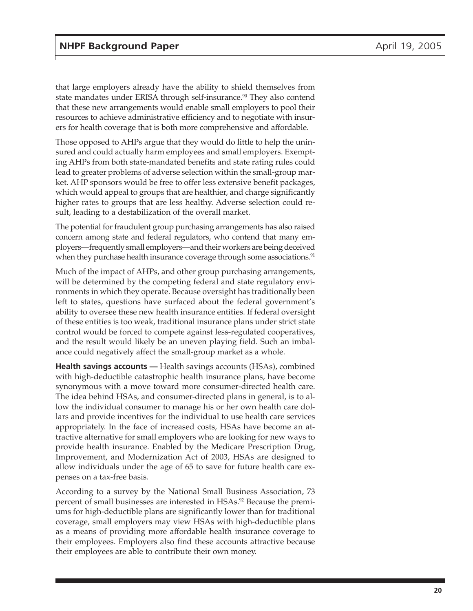that large employers already have the ability to shield themselves from state mandates under ERISA through self-insurance.<sup>90</sup> They also contend that these new arrangements would enable small employers to pool their resources to achieve administrative efficiency and to negotiate with insurers for health coverage that is both more comprehensive and affordable.

Those opposed to AHPs argue that they would do little to help the uninsured and could actually harm employees and small employers. Exempting AHPs from both state-mandated benefits and state rating rules could lead to greater problems of adverse selection within the small-group market. AHP sponsors would be free to offer less extensive benefit packages, which would appeal to groups that are healthier, and charge significantly higher rates to groups that are less healthy. Adverse selection could result, leading to a destabilization of the overall market.

The potential for fraudulent group purchasing arrangements has also raised concern among state and federal regulators, who contend that many employers—frequently small employers—and their workers are being deceived when they purchase health insurance coverage through some associations.<sup>91</sup>

Much of the impact of AHPs, and other group purchasing arrangements, will be determined by the competing federal and state regulatory environments in which they operate. Because oversight has traditionally been left to states, questions have surfaced about the federal government's ability to oversee these new health insurance entities. If federal oversight of these entities is too weak, traditional insurance plans under strict state control would be forced to compete against less-regulated cooperatives, and the result would likely be an uneven playing field. Such an imbalance could negatively affect the small-group market as a whole.

**Health savings accounts —** Health savings accounts (HSAs), combined with high-deductible catastrophic health insurance plans, have become synonymous with a move toward more consumer-directed health care. The idea behind HSAs, and consumer-directed plans in general, is to allow the individual consumer to manage his or her own health care dollars and provide incentives for the individual to use health care services appropriately. In the face of increased costs, HSAs have become an attractive alternative for small employers who are looking for new ways to provide health insurance. Enabled by the Medicare Prescription Drug, Improvement, and Modernization Act of 2003, HSAs are designed to allow individuals under the age of 65 to save for future health care expenses on a tax-free basis.

According to a survey by the National Small Business Association, 73 percent of small businesses are interested in HSAs.92 Because the premiums for high-deductible plans are significantly lower than for traditional coverage, small employers may view HSAs with high-deductible plans as a means of providing more affordable health insurance coverage to their employees. Employers also find these accounts attractive because their employees are able to contribute their own money.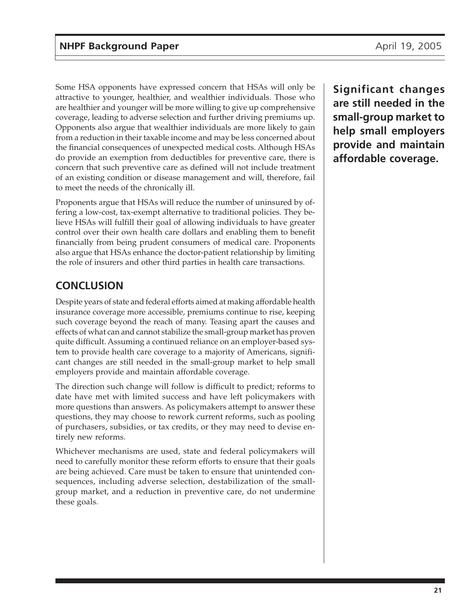<span id="page-20-0"></span>Some HSA opponents have expressed concern that HSAs will only be attractive to younger, healthier, and wealthier individuals. Those who are healthier and younger will be more willing to give up comprehensive coverage, leading to adverse selection and further driving premiums up. Opponents also argue that wealthier individuals are more likely to gain from a reduction in their taxable income and may be less concerned about the financial consequences of unexpected medical costs. Although HSAs do provide an exemption from deductibles for preventive care, there is concern that such preventive care as defined will not include treatment of an existing condition or disease management and will, therefore, fail to meet the needs of the chronically ill.

Proponents argue that HSAs will reduce the number of uninsured by offering a low-cost, tax-exempt alternative to traditional policies. They believe HSAs will fulfill their goal of allowing individuals to have greater control over their own health care dollars and enabling them to benefit financially from being prudent consumers of medical care. Proponents also argue that HSAs enhance the doctor-patient relationship by limiting the role of insurers and other third parties in health care transactions.

## **CONCLUSION**

Despite years of state and federal efforts aimed at making affordable health insurance coverage more accessible, premiums continue to rise, keeping such coverage beyond the reach of many. Teasing apart the causes and effects of what can and cannot stabilize the small-group market has proven quite difficult. Assuming a continued reliance on an employer-based system to provide health care coverage to a majority of Americans, significant changes are still needed in the small-group market to help small employers provide and maintain affordable coverage.

The direction such change will follow is difficult to predict; reforms to date have met with limited success and have left policymakers with more questions than answers. As policymakers attempt to answer these questions, they may choose to rework current reforms, such as pooling of purchasers, subsidies, or tax credits, or they may need to devise entirely new reforms.

Whichever mechanisms are used, state and federal policymakers will need to carefully monitor these reform efforts to ensure that their goals are being achieved. Care must be taken to ensure that unintended consequences, including adverse selection, destabilization of the smallgroup market, and a reduction in preventive care, do not undermine these goals.

**Significant changes are still needed in the small-group market to help small employers provide and maintain affordable coverage.**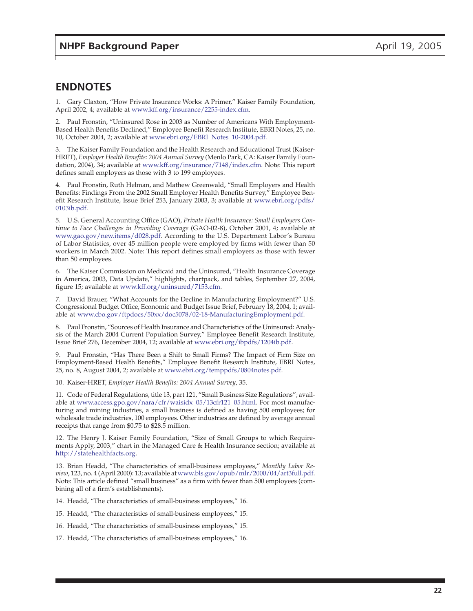#### <span id="page-21-0"></span>**ENDNOTES**

1. Gary Claxton, "How Private Insurance Works: A Primer," Kaiser Family Foundation, April 2002, 4; available at [www.kff.org/insurance/2255-index.cfm.](http://www.kff.org/insurance/2255-index.cfm)

2. Paul Fronstin, "Uninsured Rose in 2003 as Number of Americans With Employment-Based Health Benefits Declined," Employee Benefit Research Institute, EBRI Notes, 25, no. 10, October 2004, 2; available at [www.ebri.org/EBRI\\_Notes\\_10-2004.pdf.](http://www.ebri.org/EBRI_Notes_10-2004.pdf)

3. The Kaiser Family Foundation and the Health Research and Educational Trust (Kaiser-HRET), *Employer Health Benefits: 2004 Annual Survey* (Menlo Park, CA: Kaiser Family Foundation, 2004), 34; available at [www.kff.org/insurance/7148/index.cfm.](http://www.kff.org/insurance/7148/index.cfm) Note: This report defines small employers as those with 3 to 199 employees.

4. Paul Fronstin, Ruth Helman, and Mathew Greenwald, "Small Employers and Health Benefits: Findings From the 2002 Small Employer Health Benefits Survey," Employee Benefit Research Institute, Issue Brief 253, January 2003, 3; available at [www.ebri.org/pdfs/](http://www.ebri.org/pdfs/0103ib.pdf) 0103ib.pdf.

5. U.S. General Accounting Office (GAO), *Private Health Insurance: Small Employers Continue to Face Challenges in Providing Coverage* (GAO-02-8), October 2001, 4; available at [www.gao.gov/new.items/d028.pdf.](http://www.gao.gov/new.items/d028.pdf) According to the U.S. Department Labor's Bureau of Labor Statistics, over 45 million people were employed by firms with fewer than 50 workers in March 2002. Note: This report defines small employers as those with fewer than 50 employees.

6. The Kaiser Commission on Medicaid and the Uninsured, "Health Insurance Coverage in America, 2003, Data Update," highlights, chartpack, and tables, September 27, 2004, figure 15; available at [www.kff.org/uninsured/7153.cfm.](http://www.kff.org/uninsured/7153.cfm)

7. David Brauer, "What Accounts for the Decline in Manufacturing Employment?" U.S. Congressional Budget Office, Economic and Budget Issue Brief, February 18, 2004, 1; available at [www.cbo.gov/ftpdocs/50xx/doc5078/02-18-ManufacturingEmployment.pdf.](http://www.cbo.gov/ftpdocs/50xx/doc5078/02-18-ManufacturingEmployment.pdf)

8. Paul Fronstin, "Sources of Health Insurance and Characteristics of the Uninsured: Analysis of the March 2004 Current Population Survey," Employee Benefit Research Institute, Issue Brief 276, December 2004, 12; available at [www.ebri.org/ibpdfs/1204ib.pdf.](http://www.ebri.org/ibpdfs/1204ib.pdf)

9. Paul Fronstin, "Has There Been a Shift to Small Firms? The Impact of Firm Size on Employment-Based Health Benefits," Employee Benefit Research Institute, EBRI Notes, 25, no. 8, August 2004, 2; available at [www.ebri.org/temppdfs/0804notes.pdf.](http://www.ebri.org/temppdfs/0804notes.pdf)

10. Kaiser-HRET, *Employer Health Benefits: 2004 Annual Survey*, 35.

11. Code of Federal Regulations, title 13, part 121, "Small Business Size Regulations"; available at [www.access.gpo.gov/nara/cfr/waisidx\\_05/13cfr121\\_05.html.](http://www.access.gpo.gov/nara/cfr/waisidx_05/13cfr121_05.html) For most manufacturing and mining industries, a small business is defined as having 500 employees; for wholesale trade industries, 100 employees. Other industries are defined by average annual receipts that range from \$0.75 to \$28.5 million.

12. The Henry J. Kaiser Family Foundation, "Size of Small Groups to which Requirements Apply, 2003," chart in the Managed Care & Health Insurance section; available at [http://statehealthfacts.org.](http://statehealthfacts.org)

13. Brian Headd, "The characteristics of small-business employees," *Monthly Labor Review*, 123, no. 4 (April 2000): 13; available at [www.bls.gov/opub/mlr/2000/04/art3full.pdf.](http://www.bls.gov/opub/mlr/2000/04/art3full.pdf) Note: This article defined "small business" as a firm with fewer than 500 employees (combining all of a firm's establishments).

14. Headd, "The characteristics of small-business employees," 16.

15. Headd, "The characteristics of small-business employees," 15.

16. Headd, "The characteristics of small-business employees," 15.

17. Headd, "The characteristics of small-business employees," 16.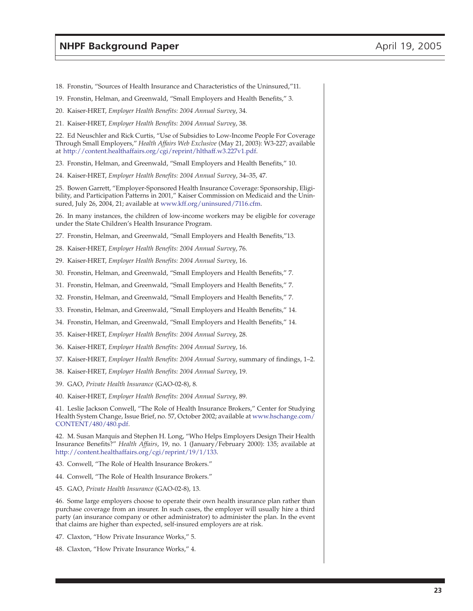- 18. Fronstin, "Sources of Health Insurance and Characteristics of the Uninsured,"11.
- 19. Fronstin, Helman, and Greenwald, "Small Employers and Health Benefits," 3.
- 20. Kaiser-HRET, *Employer Health Benefits: 2004 Annual Survey*, 34.
- 21. Kaiser-HRET, *Employer Health Benefits: 2004 Annual Survey*, 38.

22. Ed Neuschler and Rick Curtis, "Use of Subsidies to Low-Income People For Coverage Through Small Employers," *Health Affairs Web Exclusive* (May 21, 2003): W3-227; available at [http://content.healthaffairs.org/cgi/reprint/hlthaff.w3.227v1.pdf.](http://content.healthaffairs.org/cgi/reprint/hlthaff.w3.227v1.pdf)

23. Fronstin, Helman, and Greenwald, "Small Employers and Health Benefits," 10.

24. Kaiser-HRET, *Employer Health Benefits: 2004 Annual Survey*, 34–35, 47.

25. Bowen Garrett, "Employer-Sponsored Health Insurance Coverage: Sponsorship, Eligibility, and Participation Patterns in 2001," Kaiser Commission on Medicaid and the Uninsured, July 26, 2004, 21; available at [www.kff.org/uninsured/7116.cfm.](http://www.kff.org/uninsured/7116.cfm)

26. In many instances, the children of low-income workers may be eligible for coverage under the State Children's Health Insurance Program.

27. Fronstin, Helman, and Greenwald, "Small Employers and Health Benefits,"13.

- 28. Kaiser-HRET, *Employer Health Benefits: 2004 Annual Survey*, 76.
- 29. Kaiser-HRET, *Employer Health Benefits: 2004 Annual Survey*, 16.
- 30. Fronstin, Helman, and Greenwald, "Small Employers and Health Benefits," 7.
- 31. Fronstin, Helman, and Greenwald, "Small Employers and Health Benefits," 7.
- 32. Fronstin, Helman, and Greenwald, "Small Employers and Health Benefits," 7.
- 33. Fronstin, Helman, and Greenwald, "Small Employers and Health Benefits," 14.
- 34. Fronstin, Helman, and Greenwald, "Small Employers and Health Benefits," 14.
- 35. Kaiser-HRET, *Employer Health Benefits: 2004 Annual Survey*, 28.
- 36. Kaiser-HRET, *Employer Health Benefits: 2004 Annual Survey*, 16.
- 37. Kaiser-HRET, *Employer Health Benefits: 2004 Annual Survey*, summary of findings, 1–2.
- 38. Kaiser-HRET, *Employer Health Benefits: 2004 Annual Survey*, 19.
- 39. GAO, *Private Health Insurance* (GAO-02-8), 8.
- 40. Kaiser-HRET, *Employer Health Benefits: 2004 Annual Survey*, 89.

41. Leslie Jackson Conwell, "The Role of Health Insurance Brokers," Center for Studying Health System Change, Issue Brief, no. 57, October 2002; available at [www.hschange.com/](http://www.hschange.com/CONTENT/480/480.pdf) CONTENT/480/480.pdf.

42. M. Susan Marquis and Stephen H. Long, "Who Helps Employers Design Their Health Insurance Benefits?" *Health Affairs*, 19, no. 1 (January/February 2000): 135; available at <http://content.healthaffairs.org/cgi/reprint/19/1/133>.

- 43. Conwell, "The Role of Health Insurance Brokers."
- 44. Conwell, "The Role of Health Insurance Brokers."
- 45. GAO, *Private Health Insurance* (GAO-02-8), 13.

46. Some large employers choose to operate their own health insurance plan rather than purchase coverage from an insurer. In such cases, the employer will usually hire a third party (an insurance company or other administrator) to administer the plan. In the event that claims are higher than expected, self-insured employers are at risk.

- 47. Claxton, "How Private Insurance Works," 5.
- 48. Claxton, "How Private Insurance Works," 4.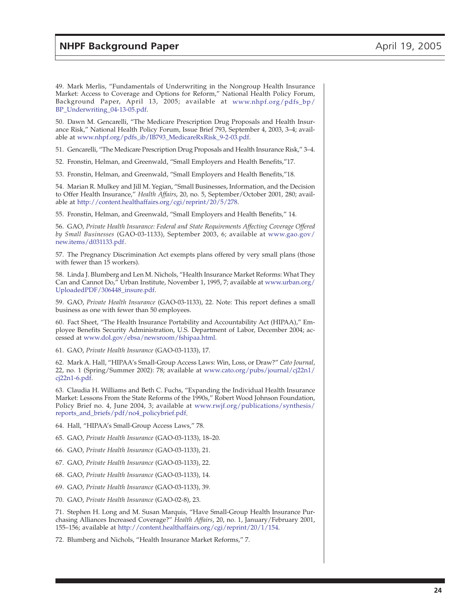49. Mark Merlis, "Fundamentals of Underwriting in the Nongroup Health Insurance Market: Access to Coverage and Options for Reform," National Health Policy Forum, Background Paper, April 13, 2005; available at [www.nhpf.org/pdfs\\_bp/](http://www.nhpf.org/pdfs_bp/BP_Underwriting_04-13-05.pdf) BP\_Underwriting\_04-13-05.pdf.

50. Dawn M. Gencarelli, "The Medicare Prescription Drug Proposals and Health Insurance Risk," National Health Policy Forum, Issue Brief 793, September 4, 2003, 3–4; available at [www.nhpf.org/pdfs\\_ib/IB793\\_MedicareRxRisk\\_9-2-03.pdf.](http://www.nhpf.org/pdfs_ib/IB793_MedicareRxRisk_9-2-03.pdf)

51. Gencarelli, "The Medicare Prescription Drug Proposals and Health Insurance Risk," 3–4.

52. Fronstin, Helman, and Greenwald, "Small Employers and Health Benefits,"17.

53. Fronstin, Helman, and Greenwald, "Small Employers and Health Benefits,"18.

54. Marian R. Mulkey and Jill M. Yegian, "Small Businesses, Information, and the Decision to Offer Health Insurance," *Health Affairs*, 20, no. 5, September/October 2001, 280; available at [http://content.healthaffairs.org/cgi/reprint/20/5/278.](http://content.healthaffairs.org/cgi/reprint/20/5/278)

55. Fronstin, Helman, and Greenwald, "Small Employers and Health Benefits," 14.

56. GAO, *Private Health Insurance: Federal and State Requirements Affecting Coverage Offered by Small Businesses* (GAO-03-1133), September 2003, 6; available at [www.gao.gov/](http://www.gao.gov/new.items/d031133.pdf) new.items/d031133.pdf.

57. The Pregnancy Discrimination Act exempts plans offered by very small plans (those with fewer than 15 workers).

58. Linda J. Blumberg and Len M. Nichols, "Health Insurance Market Reforms: What They Can and Cannot Do," Urban Institute, November 1, 1995, 7; available at [www.urban.org/](http://www.urban.org/UploadedPDF/306448_insure.pdf) UploadedPDF/306448\_insure.pdf.

59. GAO, *Private Health Insurance* (GAO-03-1133), 22. Note: This report defines a small business as one with fewer than 50 employees.

60. Fact Sheet, "The Health Insurance Portability and Accountability Act (HIPAA)," Employee Benefits Security Administration, U.S. Department of Labor, December 2004; accessed at [www.dol.gov/ebsa/newsroom/fshipaa.html.](http://www.dol.gov/ebsa/newsroom/fshipaa.html)

61. GAO, *Private Health Insurance* (GAO-03-1133), 17.

62. Mark A. Hall, "HIPAA's Small-Group Access Laws: Win, Loss, or Draw?" *Cato Journal*, 22, no. 1 (Spring/Summer 2002): 78; available a[t www.cato.org/pubs/journal/cj22n1/](http://www.cato.org/pubs/journal/cj22n1/cj22n1-6.pdf) cj22n1-6.pdf.

63. Claudia H. Williams and Beth C. Fuchs, "Expanding the Individual Health Insurance Market: Lessons From the State Reforms of the 1990s," Robert Wood Johnson Foundation, Policy Brief no. 4, June 2004, 3; available at [www.rwjf.org/publications/synthesis/](http://www.rwjf.org/publications/synthesis/reports_and_briefs/pdf/no4_policybrief.pdf) reports\_and\_briefs/pdf/no4\_policybrief.pdf.

64. Hall, "HIPAA's Small-Group Access Laws," 78.

65. GAO, *Private Health Insurance* (GAO-03-1133), 18–20.

66. GAO, *Private Health Insurance* (GAO-03-1133), 21.

67. GAO, *Private Health Insurance* (GAO-03-1133), 22.

68. GAO, *Private Health Insurance* (GAO-03-1133), 14.

69. GAO, *Private Health Insurance* (GAO-03-1133), 39.

70. GAO, *Private Health Insurance* (GAO-02-8), 23.

71. Stephen H. Long and M. Susan Marquis, "Have Small-Group Health Insurance Purchasing Alliances Increased Coverage?" *Health Affairs*, 20, no. 1, January/February 2001, 155–156; available a[t http://content.healthaffairs.org/cgi/reprint/20/1/154](http://content.healthaffairs.org/cgi/reprint/20/1/154).

72. Blumberg and Nichols, "Health Insurance Market Reforms," 7.